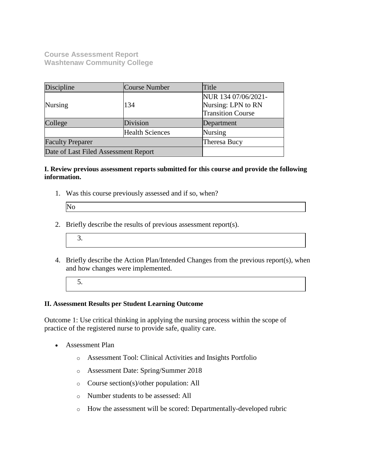**Course Assessment Report Washtenaw Community College**

| Discipline                           | Course Number          | Title                    |
|--------------------------------------|------------------------|--------------------------|
|                                      |                        | NUR 134 07/06/2021-      |
| <b>Nursing</b>                       | 134                    | Nursing: LPN to RN       |
|                                      |                        | <b>Transition Course</b> |
| College                              | Division               | Department               |
|                                      | <b>Health Sciences</b> | <b>Nursing</b>           |
| <b>Faculty Preparer</b>              |                        | Theresa Bucy             |
| Date of Last Filed Assessment Report |                        |                          |

### **I. Review previous assessment reports submitted for this course and provide the following information.**

1. Was this course previously assessed and if so, when?

| No |  |  |
|----|--|--|

- 2. Briefly describe the results of previous assessment report(s).
	- 3.
- 4. Briefly describe the Action Plan/Intended Changes from the previous report(s), when and how changes were implemented.
	- 5.

## **II. Assessment Results per Student Learning Outcome**

Outcome 1: Use critical thinking in applying the nursing process within the scope of practice of the registered nurse to provide safe, quality care.

- Assessment Plan
	- o Assessment Tool: Clinical Activities and Insights Portfolio
	- o Assessment Date: Spring/Summer 2018
	- o Course section(s)/other population: All
	- o Number students to be assessed: All
	- o How the assessment will be scored: Departmentally-developed rubric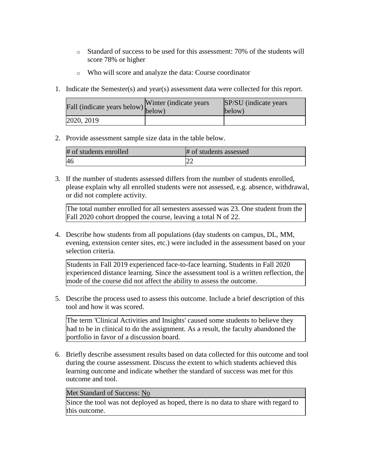- o Standard of success to be used for this assessment: 70% of the students will score 78% or higher
- o Who will score and analyze the data: Course coordinator
- 1. Indicate the Semester(s) and year(s) assessment data were collected for this report.

| riall (indicate years below) below) | Winter (indicate years) | SP/SU (indicate years)<br>below) |
|-------------------------------------|-------------------------|----------------------------------|
| 2020, 2019                          |                         |                                  |

2. Provide assessment sample size data in the table below.

| # of students enrolled | # of students assessed |
|------------------------|------------------------|
|                        |                        |

3. If the number of students assessed differs from the number of students enrolled, please explain why all enrolled students were not assessed, e.g. absence, withdrawal, or did not complete activity.

The total number enrolled for all semesters assessed was 23. One student from the Fall 2020 cohort dropped the course, leaving a total N of 22.

4. Describe how students from all populations (day students on campus, DL, MM, evening, extension center sites, etc.) were included in the assessment based on your selection criteria.

Students in Fall 2019 experienced face-to-face learning. Students in Fall 2020 experienced distance learning. Since the assessment tool is a written reflection, the mode of the course did not affect the ability to assess the outcome.

5. Describe the process used to assess this outcome. Include a brief description of this tool and how it was scored.

The term 'Clinical Activities and Insights' caused some students to believe they had to be in clinical to do the assignment. As a result, the faculty abandoned the portfolio in favor of a discussion board.

6. Briefly describe assessment results based on data collected for this outcome and tool during the course assessment. Discuss the extent to which students achieved this learning outcome and indicate whether the standard of success was met for this outcome and tool.

#### Met Standard of Success: No

Since the tool was not deployed as hoped, there is no data to share with regard to this outcome.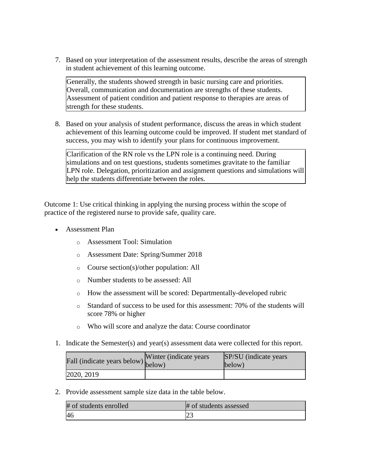7. Based on your interpretation of the assessment results, describe the areas of strength in student achievement of this learning outcome.

Generally, the students showed strength in basic nursing care and priorities. Overall, communication and documentation are strengths of these students. Assessment of patient condition and patient response to therapies are areas of strength for these students.

8. Based on your analysis of student performance, discuss the areas in which student achievement of this learning outcome could be improved. If student met standard of success, you may wish to identify your plans for continuous improvement.

Clarification of the RN role vs the LPN role is a continuing need. During simulations and on test questions, students sometimes gravitate to the familiar LPN role. Delegation, prioritization and assignment questions and simulations will help the students differentiate between the roles.

Outcome 1: Use critical thinking in applying the nursing process within the scope of practice of the registered nurse to provide safe, quality care.

- Assessment Plan
	- o Assessment Tool: Simulation
	- o Assessment Date: Spring/Summer 2018
	- o Course section(s)/other population: All
	- o Number students to be assessed: All
	- o How the assessment will be scored: Departmentally-developed rubric
	- o Standard of success to be used for this assessment: 70% of the students will score 78% or higher
	- o Who will score and analyze the data: Course coordinator
- 1. Indicate the Semester(s) and year(s) assessment data were collected for this report.

| Fall (indicate years below) below) | Winter (indicate years) | SP/SU (indicate years)<br>below) |
|------------------------------------|-------------------------|----------------------------------|
| 2020, 2019                         |                         |                                  |

2. Provide assessment sample size data in the table below.

| # of students enrolled | # of students assessed |
|------------------------|------------------------|
| <sup>46</sup>          | ل ک                    |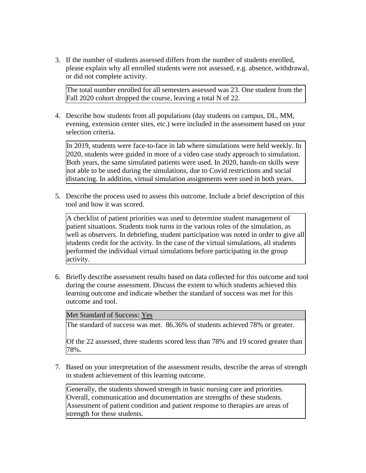3. If the number of students assessed differs from the number of students enrolled, please explain why all enrolled students were not assessed, e.g. absence, withdrawal, or did not complete activity.

The total number enrolled for all semesters assessed was 23. One student from the Fall 2020 cohort dropped the course, leaving a total N of 22.

4. Describe how students from all populations (day students on campus, DL, MM, evening, extension center sites, etc.) were included in the assessment based on your selection criteria.

In 2019, students were face-to-face in lab where simulations were held weekly. In 2020, students were guided in more of a video case study approach to simulation. Both years, the same simulated patients were used. In 2020, hands-on skills were not able to be used during the simulations, due to Covid restrictions and social distancing. In addition, virtual simulation assignments were used in both years.

5. Describe the process used to assess this outcome. Include a brief description of this tool and how it was scored.

A checklist of patient priorities was used to determine student management of patient situations. Students took turns in the various roles of the simulation, as well as observers. In debriefing, student participation was noted in order to give all students credit for the activity. In the case of the virtual simulations, all students performed the individual virtual simulations before participating in the group activity.

6. Briefly describe assessment results based on data collected for this outcome and tool during the course assessment. Discuss the extent to which students achieved this learning outcome and indicate whether the standard of success was met for this outcome and tool.

Met Standard of Success: Yes

The standard of success was met. 86.36% of students achieved 78% or greater.

Of the 22 assessed, three students scored less than 78% and 19 scored greater than 78%.

7. Based on your interpretation of the assessment results, describe the areas of strength in student achievement of this learning outcome.

Generally, the students showed strength in basic nursing care and priorities. Overall, communication and documentation are strengths of these students. Assessment of patient condition and patient response to therapies are areas of strength for these students.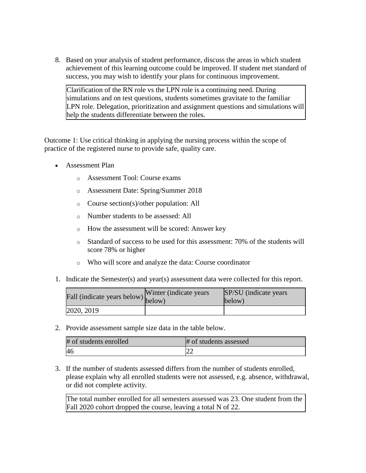8. Based on your analysis of student performance, discuss the areas in which student achievement of this learning outcome could be improved. If student met standard of success, you may wish to identify your plans for continuous improvement.

Clarification of the RN role vs the LPN role is a continuing need. During simulations and on test questions, students sometimes gravitate to the familiar LPN role. Delegation, prioritization and assignment questions and simulations will help the students differentiate between the roles.

Outcome 1: Use critical thinking in applying the nursing process within the scope of practice of the registered nurse to provide safe, quality care.

- Assessment Plan
	- o Assessment Tool: Course exams
	- o Assessment Date: Spring/Summer 2018
	- o Course section(s)/other population: All
	- o Number students to be assessed: All
	- o How the assessment will be scored: Answer key
	- o Standard of success to be used for this assessment: 70% of the students will score 78% or higher
	- o Who will score and analyze the data: Course coordinator
- 1. Indicate the Semester(s) and year(s) assessment data were collected for this report.

| rall (indicate years below) below) | Winter (indicate years) | SP/SU (indicate years)<br>below) |
|------------------------------------|-------------------------|----------------------------------|
| 2020, 2019                         |                         |                                  |

2. Provide assessment sample size data in the table below.

| # of students enrolled | # of students assessed |
|------------------------|------------------------|
| 46                     | ∠∠                     |

3. If the number of students assessed differs from the number of students enrolled, please explain why all enrolled students were not assessed, e.g. absence, withdrawal, or did not complete activity.

The total number enrolled for all semesters assessed was 23. One student from the Fall 2020 cohort dropped the course, leaving a total N of 22.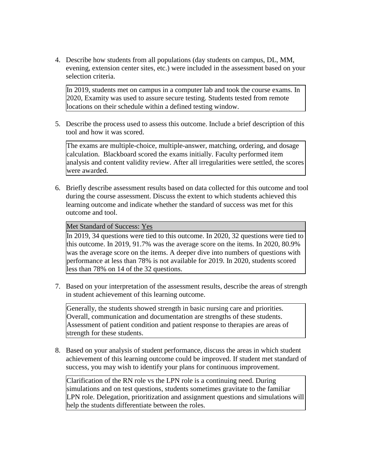4. Describe how students from all populations (day students on campus, DL, MM, evening, extension center sites, etc.) were included in the assessment based on your selection criteria.

In 2019, students met on campus in a computer lab and took the course exams. In 2020, Examity was used to assure secure testing. Students tested from remote locations on their schedule within a defined testing window.

5. Describe the process used to assess this outcome. Include a brief description of this tool and how it was scored.

The exams are multiple-choice, multiple-answer, matching, ordering, and dosage calculation. Blackboard scored the exams initially. Faculty performed item analysis and content validity review. After all irregularities were settled, the scores were awarded.

6. Briefly describe assessment results based on data collected for this outcome and tool during the course assessment. Discuss the extent to which students achieved this learning outcome and indicate whether the standard of success was met for this outcome and tool.

Met Standard of Success: Yes

In 2019, 34 questions were tied to this outcome. In 2020, 32 questions were tied to this outcome. In 2019, 91.7% was the average score on the items. In 2020, 80.9% was the average score on the items. A deeper dive into numbers of questions with performance at less than 78% is not available for 2019. In 2020, students scored less than 78% on 14 of the 32 questions.

7. Based on your interpretation of the assessment results, describe the areas of strength in student achievement of this learning outcome.

Generally, the students showed strength in basic nursing care and priorities. Overall, communication and documentation are strengths of these students. Assessment of patient condition and patient response to therapies are areas of strength for these students.

8. Based on your analysis of student performance, discuss the areas in which student achievement of this learning outcome could be improved. If student met standard of success, you may wish to identify your plans for continuous improvement.

Clarification of the RN role vs the LPN role is a continuing need. During simulations and on test questions, students sometimes gravitate to the familiar LPN role. Delegation, prioritization and assignment questions and simulations will help the students differentiate between the roles.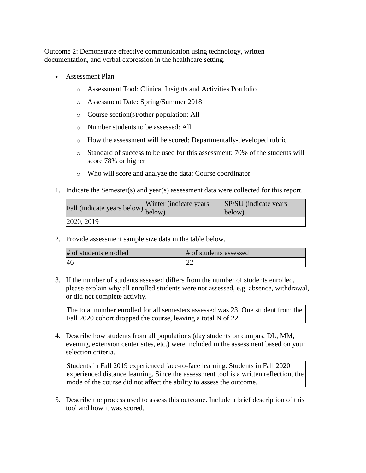Outcome 2: Demonstrate effective communication using technology, written documentation, and verbal expression in the healthcare setting.

- Assessment Plan
	- o Assessment Tool: Clinical Insights and Activities Portfolio
	- o Assessment Date: Spring/Summer 2018
	- o Course section(s)/other population: All
	- o Number students to be assessed: All
	- o How the assessment will be scored: Departmentally-developed rubric
	- $\circ$  Standard of success to be used for this assessment: 70% of the students will score 78% or higher
	- o Who will score and analyze the data: Course coordinator
- 1. Indicate the Semester(s) and year(s) assessment data were collected for this report.

| r'all (indicate years below) below) | Winter (indicate years) | SP/SU (indicate years)<br>below) |
|-------------------------------------|-------------------------|----------------------------------|
| 2020, 2019                          |                         |                                  |

2. Provide assessment sample size data in the table below.

| # of students enrolled | # of students assessed |
|------------------------|------------------------|
|                        | $\sim$                 |

3. If the number of students assessed differs from the number of students enrolled, please explain why all enrolled students were not assessed, e.g. absence, withdrawal, or did not complete activity.

The total number enrolled for all semesters assessed was 23. One student from the Fall 2020 cohort dropped the course, leaving a total N of 22.

4. Describe how students from all populations (day students on campus, DL, MM, evening, extension center sites, etc.) were included in the assessment based on your selection criteria.

Students in Fall 2019 experienced face-to-face learning. Students in Fall 2020 experienced distance learning. Since the assessment tool is a written reflection, the mode of the course did not affect the ability to assess the outcome.

5. Describe the process used to assess this outcome. Include a brief description of this tool and how it was scored.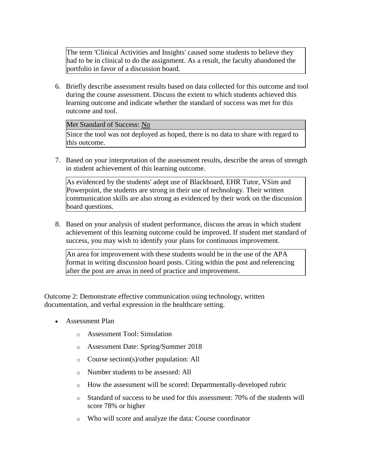The term 'Clinical Activities and Insights' caused some students to believe they had to be in clinical to do the assignment. As a result, the faculty abandoned the portfolio in favor of a discussion board.

6. Briefly describe assessment results based on data collected for this outcome and tool during the course assessment. Discuss the extent to which students achieved this learning outcome and indicate whether the standard of success was met for this outcome and tool.

### Met Standard of Success: No

Since the tool was not deployed as hoped, there is no data to share with regard to this outcome.

7. Based on your interpretation of the assessment results, describe the areas of strength in student achievement of this learning outcome.

As evidenced by the students' adept use of Blackboard, EHR Tutor, VSim and Powerpoint, the students are strong in their use of technology. Their written communication skills are also strong as evidenced by their work on the discussion board questions.

8. Based on your analysis of student performance, discuss the areas in which student achievement of this learning outcome could be improved. If student met standard of success, you may wish to identify your plans for continuous improvement.

An area for improvement with these students would be in the use of the APA format in writing discussion board posts. Citing within the post and referencing after the post are areas in need of practice and improvement.

Outcome 2: Demonstrate effective communication using technology, written documentation, and verbal expression in the healthcare setting.

- Assessment Plan
	- o Assessment Tool: Simulation
	- o Assessment Date: Spring/Summer 2018
	- o Course section(s)/other population: All
	- o Number students to be assessed: All
	- o How the assessment will be scored: Departmentally-developed rubric
	- o Standard of success to be used for this assessment: 70% of the students will score 78% or higher
	- o Who will score and analyze the data: Course coordinator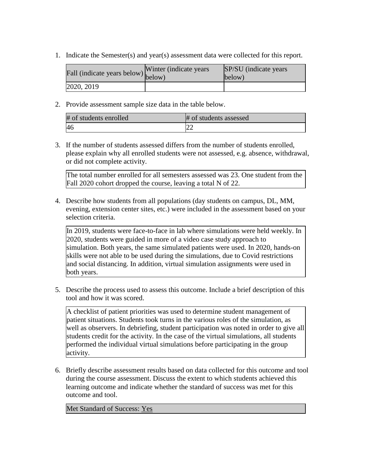1. Indicate the Semester(s) and year(s) assessment data were collected for this report.

| rall (indicate years below) below) | Winter (indicate years) | SP/SU (indicate years)<br>$\text{below}$ |
|------------------------------------|-------------------------|------------------------------------------|
| 2020, 2019                         |                         |                                          |

2. Provide assessment sample size data in the table below.

| # of students enrolled | # of students assessed |
|------------------------|------------------------|
| 46                     |                        |

3. If the number of students assessed differs from the number of students enrolled, please explain why all enrolled students were not assessed, e.g. absence, withdrawal, or did not complete activity.

The total number enrolled for all semesters assessed was 23. One student from the Fall 2020 cohort dropped the course, leaving a total N of 22.

4. Describe how students from all populations (day students on campus, DL, MM, evening, extension center sites, etc.) were included in the assessment based on your selection criteria.

In 2019, students were face-to-face in lab where simulations were held weekly. In 2020, students were guided in more of a video case study approach to simulation. Both years, the same simulated patients were used. In 2020, hands-on skills were not able to be used during the simulations, due to Covid restrictions and social distancing. In addition, virtual simulation assignments were used in both years.

5. Describe the process used to assess this outcome. Include a brief description of this tool and how it was scored.

A checklist of patient priorities was used to determine student management of patient situations. Students took turns in the various roles of the simulation, as well as observers. In debriefing, student participation was noted in order to give all students credit for the activity. In the case of the virtual simulations, all students performed the individual virtual simulations before participating in the group activity.

6. Briefly describe assessment results based on data collected for this outcome and tool during the course assessment. Discuss the extent to which students achieved this learning outcome and indicate whether the standard of success was met for this outcome and tool.

Met Standard of Success: Yes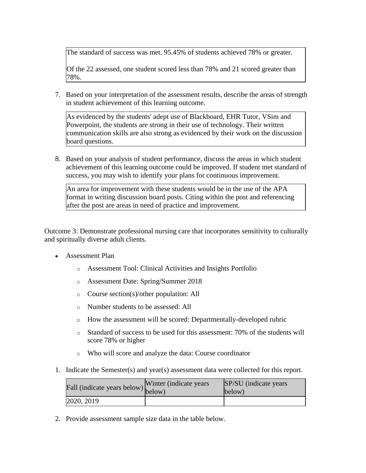The standard of success was met. 95.45% of students achieved 78% or greater.

Of the 22 assessed, one student scored less than 78% and 21 scored greater than 78%.

7. Based on your interpretation of the assessment results, describe the areas of strength in student achievement of this learning outcome.

As evidenced by the students' adept use of Blackboard, EHR Tutor, VSim and Powerpoint, the students are strong in their use of technology. Their written communication skills are also strong as evidenced by their work on the discussion board questions.

8. Based on your analysis of student performance, discuss the areas in which student achievement of this learning outcome could be improved. If student met standard of success, you may wish to identify your plans for continuous improvement.

An area for improvement with these students would be in the use of the APA format in writing discussion board posts. Citing within the post and referencing after the post are areas in need of practice and improvement.

Outcome 3: Demonstrate professional nursing care that incorporates sensitivity to culturally and spiritually diverse adult clients.

- Assessment Plan
	- o Assessment Tool: Clinical Activities and Insights Portfolio
	- o Assessment Date: Spring/Summer 2018
	- o Course section(s)/other population: All
	- o Number students to be assessed: All
	- o How the assessment will be scored: Departmentally-developed rubric
	- o Standard of success to be used for this assessment: 70% of the students will score 78% or higher
	- o Who will score and analyze the data: Course coordinator
- 1. Indicate the Semester(s) and year(s) assessment data were collected for this report.

| Fall (indicate years below) below) | Winter (indicate years) | SP/SU (indicate years)<br>below) |
|------------------------------------|-------------------------|----------------------------------|
| [2020, 2019]                       |                         |                                  |

2. Provide assessment sample size data in the table below.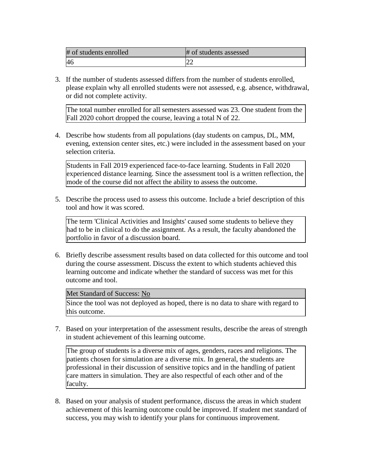| # of students enrolled | # of students assessed |
|------------------------|------------------------|
|                        | ∠∠                     |

3. If the number of students assessed differs from the number of students enrolled, please explain why all enrolled students were not assessed, e.g. absence, withdrawal, or did not complete activity.

The total number enrolled for all semesters assessed was 23. One student from the Fall 2020 cohort dropped the course, leaving a total N of 22.

4. Describe how students from all populations (day students on campus, DL, MM, evening, extension center sites, etc.) were included in the assessment based on your selection criteria.

Students in Fall 2019 experienced face-to-face learning. Students in Fall 2020 experienced distance learning. Since the assessment tool is a written reflection, the mode of the course did not affect the ability to assess the outcome.

5. Describe the process used to assess this outcome. Include a brief description of this tool and how it was scored.

The term 'Clinical Activities and Insights' caused some students to believe they had to be in clinical to do the assignment. As a result, the faculty abandoned the portfolio in favor of a discussion board.

6. Briefly describe assessment results based on data collected for this outcome and tool during the course assessment. Discuss the extent to which students achieved this learning outcome and indicate whether the standard of success was met for this outcome and tool.

#### Met Standard of Success: No

Since the tool was not deployed as hoped, there is no data to share with regard to this outcome.

7. Based on your interpretation of the assessment results, describe the areas of strength in student achievement of this learning outcome.

The group of students is a diverse mix of ages, genders, races and religions. The patients chosen for simulation are a diverse mix. In general, the students are professional in their discussion of sensitive topics and in the handling of patient care matters in simulation. They are also respectful of each other and of the faculty.

8. Based on your analysis of student performance, discuss the areas in which student achievement of this learning outcome could be improved. If student met standard of success, you may wish to identify your plans for continuous improvement.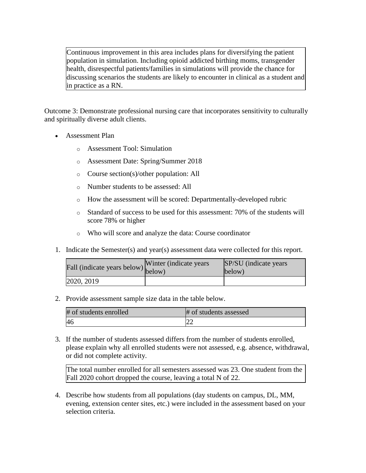Continuous improvement in this area includes plans for diversifying the patient population in simulation. Including opioid addicted birthing moms, transgender health, disrespectful patients/families in simulations will provide the chance for discussing scenarios the students are likely to encounter in clinical as a student and in practice as a RN.

Outcome 3: Demonstrate professional nursing care that incorporates sensitivity to culturally and spiritually diverse adult clients.

- Assessment Plan
	- o Assessment Tool: Simulation
	- o Assessment Date: Spring/Summer 2018
	- o Course section(s)/other population: All
	- o Number students to be assessed: All
	- o How the assessment will be scored: Departmentally-developed rubric
	- o Standard of success to be used for this assessment: 70% of the students will score 78% or higher
	- o Who will score and analyze the data: Course coordinator
- 1. Indicate the Semester(s) and year(s) assessment data were collected for this report.

| rall (indicate years below) below) | Winter (indicate years) | SP/SU (indicate years)<br>below) |
|------------------------------------|-------------------------|----------------------------------|
| 2020, 2019                         |                         |                                  |

2. Provide assessment sample size data in the table below.

| # of students enrolled | # of students assessed |
|------------------------|------------------------|
|                        | $\sim$                 |

3. If the number of students assessed differs from the number of students enrolled, please explain why all enrolled students were not assessed, e.g. absence, withdrawal, or did not complete activity.

The total number enrolled for all semesters assessed was 23. One student from the Fall 2020 cohort dropped the course, leaving a total N of 22.

4. Describe how students from all populations (day students on campus, DL, MM, evening, extension center sites, etc.) were included in the assessment based on your selection criteria.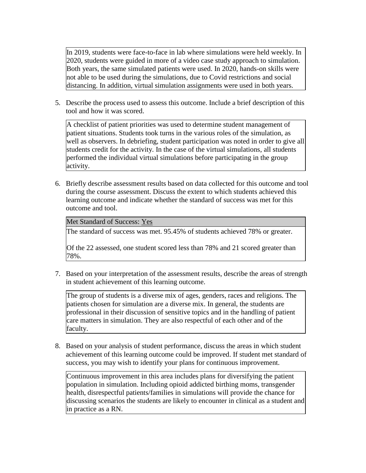In 2019, students were face-to-face in lab where simulations were held weekly. In 2020, students were guided in more of a video case study approach to simulation. Both years, the same simulated patients were used. In 2020, hands-on skills were not able to be used during the simulations, due to Covid restrictions and social distancing. In addition, virtual simulation assignments were used in both years.

5. Describe the process used to assess this outcome. Include a brief description of this tool and how it was scored.

A checklist of patient priorities was used to determine student management of patient situations. Students took turns in the various roles of the simulation, as well as observers. In debriefing, student participation was noted in order to give all students credit for the activity. In the case of the virtual simulations, all students performed the individual virtual simulations before participating in the group activity.

6. Briefly describe assessment results based on data collected for this outcome and tool during the course assessment. Discuss the extent to which students achieved this learning outcome and indicate whether the standard of success was met for this outcome and tool.

Met Standard of Success: Yes

The standard of success was met. 95.45% of students achieved 78% or greater.

Of the 22 assessed, one student scored less than 78% and 21 scored greater than 78%.

7. Based on your interpretation of the assessment results, describe the areas of strength in student achievement of this learning outcome.

The group of students is a diverse mix of ages, genders, races and religions. The patients chosen for simulation are a diverse mix. In general, the students are professional in their discussion of sensitive topics and in the handling of patient care matters in simulation. They are also respectful of each other and of the faculty.

8. Based on your analysis of student performance, discuss the areas in which student achievement of this learning outcome could be improved. If student met standard of success, you may wish to identify your plans for continuous improvement.

Continuous improvement in this area includes plans for diversifying the patient population in simulation. Including opioid addicted birthing moms, transgender health, disrespectful patients/families in simulations will provide the chance for discussing scenarios the students are likely to encounter in clinical as a student and in practice as a RN.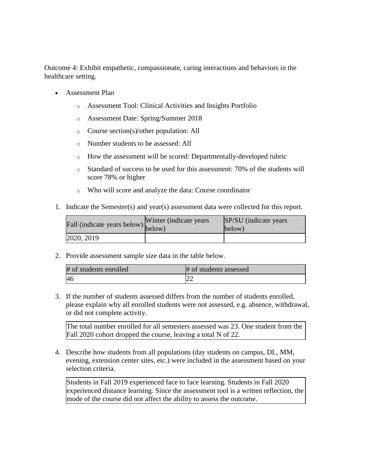Outcome 4: Exhibit empathetic, compassionate, caring interactions and behaviors in the healthcare setting.

- Assessment Plan
	- o Assessment Tool: Clinical Activities and Insights Portfolio
	- o Assessment Date: Spring/Summer 2018
	- o Course section(s)/other population: All
	- o Number students to be assessed: All
	- o How the assessment will be scored: Departmentally-developed rubric
	- o Standard of success to be used for this assessment: 70% of the students will score 78% or higher
	- o Who will score and analyze the data: Course coordinator
- 1. Indicate the Semester(s) and year(s) assessment data were collected for this report.

| $\angle$ all (indicate years below) $\begin{bmatrix} 1 & 1 \\ 1 & 1 \end{bmatrix}$ | Winter (indicate years) | SP/SU (indicate years)<br>below) |
|------------------------------------------------------------------------------------|-------------------------|----------------------------------|
| 2020, 2019                                                                         |                         |                                  |

2. Provide assessment sample size data in the table below.

| # of students enrolled | # of students assessed |
|------------------------|------------------------|
| <sup>46</sup>          | ∠∠                     |

3. If the number of students assessed differs from the number of students enrolled, please explain why all enrolled students were not assessed, e.g. absence, withdrawal, or did not complete activity.

The total number enrolled for all semesters assessed was 23. One student from the Fall 2020 cohort dropped the course, leaving a total N of 22.

4. Describe how students from all populations (day students on campus, DL, MM, evening, extension center sites, etc.) were included in the assessment based on your selection criteria.

Students in Fall 2019 experienced face to face learning. Students in Fall 2020 experienced distance learning. Since the assessment tool is a written reflection, the mode of the course did not affect the ability to assess the outcome.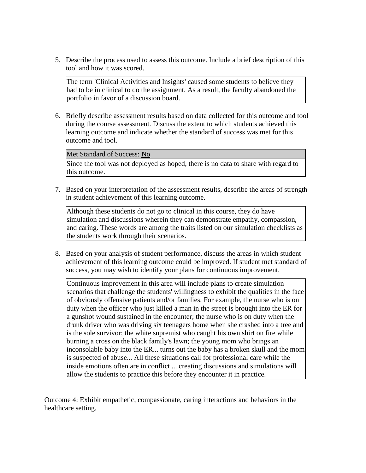5. Describe the process used to assess this outcome. Include a brief description of this tool and how it was scored.

The term 'Clinical Activities and Insights' caused some students to believe they had to be in clinical to do the assignment. As a result, the faculty abandoned the portfolio in favor of a discussion board.

6. Briefly describe assessment results based on data collected for this outcome and tool during the course assessment. Discuss the extent to which students achieved this learning outcome and indicate whether the standard of success was met for this outcome and tool.

## Met Standard of Success: No

Since the tool was not deployed as hoped, there is no data to share with regard to this outcome.

7. Based on your interpretation of the assessment results, describe the areas of strength in student achievement of this learning outcome.

Although these students do not go to clinical in this course, they do have simulation and discussions wherein they can demonstrate empathy, compassion, and caring. These words are among the traits listed on our simulation checklists as the students work through their scenarios.

8. Based on your analysis of student performance, discuss the areas in which student achievement of this learning outcome could be improved. If student met standard of success, you may wish to identify your plans for continuous improvement.

Continuous improvement in this area will include plans to create simulation scenarios that challenge the students' willingness to exhibit the qualities in the face of obviously offensive patients and/or families. For example, the nurse who is on duty when the officer who just killed a man in the street is brought into the ER for a gunshot wound sustained in the encounter; the nurse who is on duty when the drunk driver who was driving six teenagers home when she crashed into a tree and is the sole survivor; the white supremist who caught his own shirt on fire while burning a cross on the black family's lawn; the young mom who brings an inconsolable baby into the ER... turns out the baby has a broken skull and the mom is suspected of abuse... All these situations call for professional care while the inside emotions often are in conflict ... creating discussions and simulations will allow the students to practice this before they encounter it in practice.

Outcome 4: Exhibit empathetic, compassionate, caring interactions and behaviors in the healthcare setting.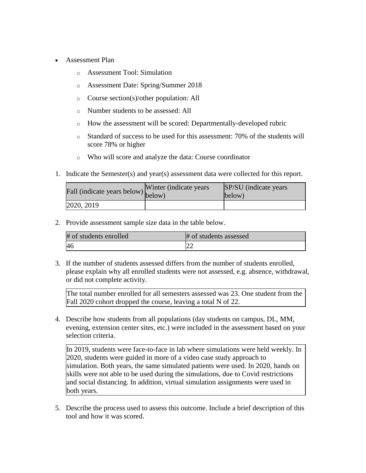- Assessment Plan
	- o Assessment Tool: Simulation
	- o Assessment Date: Spring/Summer 2018
	- o Course section(s)/other population: All
	- o Number students to be assessed: All
	- o How the assessment will be scored: Departmentally-developed rubric
	- $\circ$  Standard of success to be used for this assessment: 70% of the students will score 78% or higher
	- o Who will score and analyze the data: Course coordinator
- 1. Indicate the Semester(s) and year(s) assessment data were collected for this report.

| Fall (indicate years below) below) | Winter (indicate years) | SP/SU (indicate years)<br>below) |
|------------------------------------|-------------------------|----------------------------------|
| 2020, 2019                         |                         |                                  |

2. Provide assessment sample size data in the table below.

| # of students enrolled | # of students assessed |
|------------------------|------------------------|
| 46                     |                        |

3. If the number of students assessed differs from the number of students enrolled, please explain why all enrolled students were not assessed, e.g. absence, withdrawal, or did not complete activity.

The total number enrolled for all semesters assessed was 23. One student from the Fall 2020 cohort dropped the course, leaving a total N of 22.

4. Describe how students from all populations (day students on campus, DL, MM, evening, extension center sites, etc.) were included in the assessment based on your selection criteria.

In 2019, students were face-to-face in lab where simulations were held weekly. In 2020, students were guided in more of a video case study approach to simulation. Both years, the same simulated patients were used. In 2020, hands on skills were not able to be used during the simulations, due to Covid restrictions and social distancing. In addition, virtual simulation assignments were used in both years.

5. Describe the process used to assess this outcome. Include a brief description of this tool and how it was scored.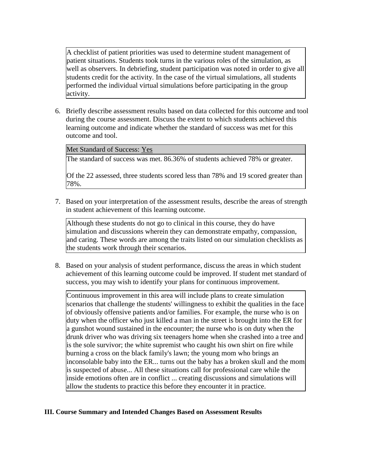A checklist of patient priorities was used to determine student management of patient situations. Students took turns in the various roles of the simulation, as well as observers. In debriefing, student participation was noted in order to give all students credit for the activity. In the case of the virtual simulations, all students performed the individual virtual simulations before participating in the group activity.

6. Briefly describe assessment results based on data collected for this outcome and tool during the course assessment. Discuss the extent to which students achieved this learning outcome and indicate whether the standard of success was met for this outcome and tool.

Met Standard of Success: Yes

The standard of success was met. 86.36% of students achieved 78% or greater.

Of the 22 assessed, three students scored less than 78% and 19 scored greater than 78%.

7. Based on your interpretation of the assessment results, describe the areas of strength in student achievement of this learning outcome.

Although these students do not go to clinical in this course, they do have simulation and discussions wherein they can demonstrate empathy, compassion, and caring. These words are among the traits listed on our simulation checklists as the students work through their scenarios.

8. Based on your analysis of student performance, discuss the areas in which student achievement of this learning outcome could be improved. If student met standard of success, you may wish to identify your plans for continuous improvement.

Continuous improvement in this area will include plans to create simulation scenarios that challenge the students' willingness to exhibit the qualities in the face of obviously offensive patients and/or families. For example, the nurse who is on duty when the officer who just killed a man in the street is brought into the ER for a gunshot wound sustained in the encounter; the nurse who is on duty when the drunk driver who was driving six teenagers home when she crashed into a tree and is the sole survivor; the white supremist who caught his own shirt on fire while burning a cross on the black family's lawn; the young mom who brings an inconsolable baby into the ER... turns out the baby has a broken skull and the mom is suspected of abuse... All these situations call for professional care while the inside emotions often are in conflict ... creating discussions and simulations will allow the students to practice this before they encounter it in practice.

## **III. Course Summary and Intended Changes Based on Assessment Results**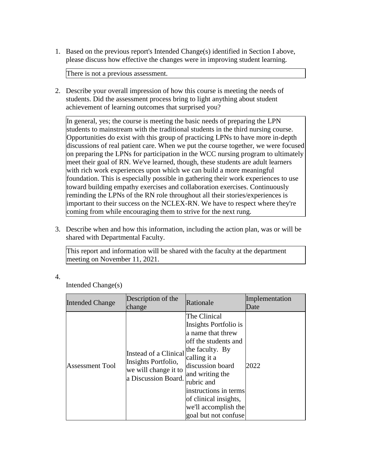1. Based on the previous report's Intended Change(s) identified in Section I above, please discuss how effective the changes were in improving student learning.

There is not a previous assessment.

2. Describe your overall impression of how this course is meeting the needs of students. Did the assessment process bring to light anything about student achievement of learning outcomes that surprised you?

In general, yes; the course is meeting the basic needs of preparing the LPN students to mainstream with the traditional students in the third nursing course. Opportunities do exist with this group of practicing LPNs to have more in-depth discussions of real patient care. When we put the course together, we were focused on preparing the LPNs for participation in the WCC nursing program to ultimately meet their goal of RN. We've learned, though, these students are adult learners with rich work experiences upon which we can build a more meaningful foundation. This is especially possible in gathering their work experiences to use toward building empathy exercises and collaboration exercises. Continuously reminding the LPNs of the RN role throughout all their stories/experiences is important to their success on the NCLEX-RN. We have to respect where they're coming from while encouraging them to strive for the next rung.

3. Describe when and how this information, including the action plan, was or will be shared with Departmental Faculty.

This report and information will be shared with the faculty at the department meeting on November 11, 2021.

4.

Intended Change(s)

| <b>Intended Change</b> | Description of the<br>change                                                                | Rationale                                                                                                                                                                                                                                                                     | Implementation<br>Date |
|------------------------|---------------------------------------------------------------------------------------------|-------------------------------------------------------------------------------------------------------------------------------------------------------------------------------------------------------------------------------------------------------------------------------|------------------------|
| <b>Assessment Tool</b> | Instead of a Clinical<br>Insights Portfolio,<br>we will change it to<br>a Discussion Board. | The Clinical<br>Insights Portfolio is<br>a name that threw<br>off the students and<br>the faculty. By<br>calling it a<br>discussion board<br>and writing the<br>rubric and<br>linstructions in terms<br>of clinical insights,<br>we'll accomplish the<br>goal but not confuse | 2022                   |